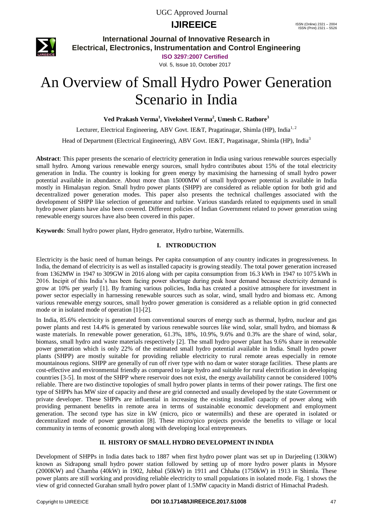# **IJIREEICE** ISSN (Online)  $2321 - 2004$ <br>
ISSN (Print)  $2321 - 5526$



**International Journal of Innovative Research in Electrical, Electronics, Instrumentation and Control Engineering**

**ISO 3297:2007 Certified**

Vol. 5, Issue 10, October 2017

# An Overview of Small Hydro Power Generation Scenario in India

**Ved Prakash Verma<sup>1</sup> , Viveksheel Verma<sup>2</sup> , Umesh C. Rathore<sup>3</sup>**

Lecturer, Electrical Engineering, ABV Govt. IE&T, Pragatinagar, Shimla (HP), India<sup>1,2</sup>

Head of Department (Electrical Engineering), ABV Govt. IE&T, Pragatinagar, Shimla (HP), India<sup>3</sup>

**Abstract**: This paper presents the scenario of electricity generation in India using various renewable sources especially small hydro. Among various renewable energy sources, small hydro contributes about 15% of the total electricity generation in India. The country is looking for green energy by maximising the harnessing of small hydro power potential available in abundance. About more than 15000MW of small hydropower potential is available in India mostly in Himalayan region. Small hydro power plants (SHPP) are considered as reliable option for both grid and decentralized power generation modes. This paper also presents the technical challenges associated with the development of SHPP like selection of generator and turbine. Various standards related to equipments used in small hydro power plants have also been covered. Different policies of Indian Government related to power generation using renewable energy sources have also been covered in this paper.

**Keywords**: Small hydro power plant, Hydro generator, Hydro turbine, Watermills.

### **I. INTRODUCTION**

Electricity is the basic need of human beings. Per capita consumption of any country indicates in progressiveness. In India, the demand of electricity is as well as installed capacity is growing steadily. The total power generation increased from 1362MW in 1947 to 309GW in 2016 along with per capita consumption from 16.3 kWh in 1947 to 1075 kWh in 2016. Incipit of this India's has been facing power shortage during peak hour demand because electricity demand is grow at 10% per yearly [1]. By framing various policies, India has created a positive atmosphere for investment in power sector especially in harnessing renewable sources such as solar, wind, small hydro and biomass etc. Among various renewable energy sources, small hydro power generation is considered as a reliable option in grid connected mode or in isolated mode of operation [1]-[2].

In India, 85.6% electricity is generated from conventional sources of energy such as thermal, hydro, nuclear and gas power plants and rest 14.4% is generated by various renewable sources like wind, solar, small hydro, and biomass & waste materials. In renewable power generation, 61.3%, 18%, 10.9%, 9.6% and 0.3% are the share of wind, solar, biomass, small hydro and waste materials respectively [2]. The small hydro power plant has 9.6% share in renewable power generation which is only 22% of the estimated small hydro potential available in India. Small hydro power plants (SHPP) are mostly suitable for providing reliable electricity to rural remote areas especially in remote mountainous regions. SHPP are generally of run off river type with no dam or water storage facilities. These plants are cost-effective and environmental friendly as compared to large hydro and suitable for rural electrification in developing countries [3-5]. In most of the SHPP where reservoir does not exist, the energy availability cannot be considered 100% reliable. There are two distinctive topologies of small hydro power plants in terms of their power ratings. The first one type of SHPPs has MW size of capacity and these are grid connected and usually developed by the state Government or private developer. These SHPPs are influential in increasing the existing installed capacity of power along with providing permanent benefits in remote area in terms of sustainable economic development and employment generation. The second type has size in kW (micro, pico or watermills) and these are operated in isolated or decentralized mode of power generation [8]. These micro/pico projects provide the benefits to village or local community in terms of economic growth along with developing local entrepreneurs.

### **II. HISTORY OF SMALL HYDRO DEVELOPMENT IN INDIA**

Development of SHPPs in India dates back to 1887 when first hydro power plant was set up in Darjeeling (130kW) known as Sidrapong small hydro power station followed by setting up of more hydro power plants in Mysore (2000KW) and Chamba (40kW) in 1902, Jubbal (50kW) in 1911 and Chhaba (1750kW) in 1913 in Shimla. These power plants are still working and providing reliable electricity to small populations in isolated mode. Fig. 1 shows the view of grid connected Gurahan small hydro power plant of 1.5MW capacity in Mandi district of Himachal Pradesh.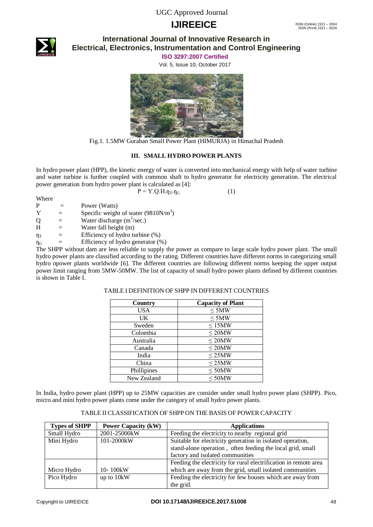# **IJIREEICE** ISSN (Online)  $2321 - 2004$ <br>
ISSN (Print)  $2321 - 5526$



### **International Journal of Innovative Research in Electrical, Electronics, Instrumentation and Control Engineering**

**ISO 3297:2007 Certified**

Vol. 5, Issue 10, October 2017



Fig.1. 1.5MW Gurahan Small Power Plant (HIMURJA) in Himachal Pradesh

### **III. SMALL HYDRO POWER PLANTS**

In hydro power plant (HPP), the kinetic energy of water is converted into mechanical energy with help of water turbine and water turbine is further coupled with common shaft to hydro generator for electricity generation. The electrical power generation from hydro power plant is calculated as [4]:

 $P = Y \cdot Q \cdot H \cdot n_{\text{t}} n_{\text{t}}$  (1)

| Where          |                                                                                                                                     |
|----------------|-------------------------------------------------------------------------------------------------------------------------------------|
| P              | Power (Watts)                                                                                                                       |
| Y              | Specific weight of water $(9810N/m3)$                                                                                               |
| O              | Water discharge $(m^3/\text{sec.})$                                                                                                 |
| H              | Water fall height (m)                                                                                                               |
| η <sub>T</sub> | Efficiency of hydro turbine (%)                                                                                                     |
| $\eta_{\rm G}$ | Efficiency of hydro generator (%)                                                                                                   |
| $\mathbf{m}$   | $\mathbf{1}$ and $\mathbf{1}$ and $\mathbf{1}$ and $\mathbf{1}$ and $\mathbf{1}$ and $\mathbf{1}$ and $\mathbf{1}$ and $\mathbf{1}$ |

The SHPP without dam are less reliable to supply the power as compare to large scale hydro power plant. The small hydro power plants are classified according to the rating. Different countries have different norms in categorizing small hydro opower plants worldwide [6]. The different countries are following different norms keeping the upper output power limit ranging from 5MW-50MW. The list of capacity of small hydro power plants defined by different countries is shown in Table I.

| Country     | <b>Capacity of Plant</b> |
|-------------|--------------------------|
| USA         | $\leq$ 5MW               |
| UK          | $\leq$ 5MW               |
| Sweden      | $\leq$ 15MW              |
| Colombia    | $\leq$ 20MW              |
| Australia   | $\leq$ 20MW              |
| Canada      | $\leq$ 20MW              |
| India       | $\leq$ 25MW              |
| China       | $\leq$ 25MW              |
| Phillipines | $\leq 50MW$              |
| New Zealand | $\leq 50MW$              |

#### TABLE I DEFINITION OF SHPP IN DIFFERENT COUNTRIES

In India, hydro power plant (HPP) up to 25MW capacities are consider under small hydro power plant (SHPP). Pico, micro and mini hydro power plants come under the category of small hydro power plants.

| TABLE II CLASSIFICATION OF SHPP ON THE BASIS OF POWER CAPACITY |  |  |
|----------------------------------------------------------------|--|--|
|                                                                |  |  |

| <b>Types of SHPP</b> | <b>Power Capacity (kW)</b> | <b>Applications</b>                                              |  |
|----------------------|----------------------------|------------------------------------------------------------------|--|
| Small Hydro          | 2001-25000kW               | Feeding the electricity to nearby regional grid                  |  |
| Mini Hydro           | 101-2000kW                 | Suitable for electricity generation in isolated operation,       |  |
|                      |                            | stand-alone operation, often feeding the local grid, small       |  |
|                      |                            | factory and isolated communities                                 |  |
|                      |                            | Feeding the electricity for rural electrification in remote area |  |
| Micro Hydro          | 10-100kW                   | which are away from the grid, small isolated communities         |  |
| Pico Hydro           | up to 10kW                 | Feeding the electricity for few houses which are away from       |  |
|                      |                            | the grid.                                                        |  |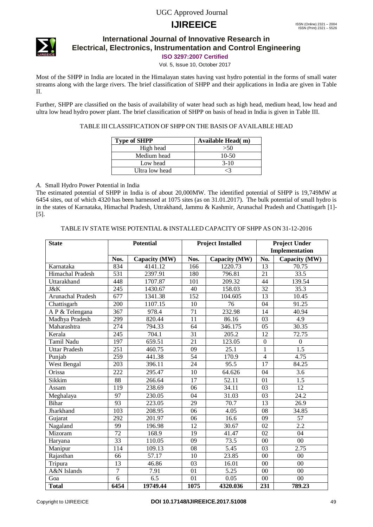# **IJIREEICE** ISSN (Online)  $2321 - 2004$ <br>
ISSN (Print)  $2321 - 5526$



### **International Journal of Innovative Research in Electrical, Electronics, Instrumentation and Control Engineering**

**ISO 3297:2007 Certified**

Vol. 5, Issue 10, October 2017

Most of the SHPP in India are located in the Himalayan states having vast hydro potential in the forms of small water streams along with the large rivers. The brief classification of SHPP and their applications in India are given in Table II.

Further, SHPP are classified on the basis of availability of water head such as high head, medium head, low head and ultra low head hydro power plant. The brief classification of SHPP on basis of head in India is given in Table III.

### TABLE III CLASSIFICATION OF SHPP ON THE BASIS OF AVAILABLE HEAD

| <b>Type of SHPP</b> | Available Head (m) |
|---------------------|--------------------|
| High head           | >50                |
| Medium head         | $10-50$            |
| Low head            | $3-10$             |
| Ultra low head      |                    |

### *A.* Small Hydro Power Potential in India

The estimated potential of SHPP in India is of about 20,000MW. The identified potential of SHPP is 19,749MW at 6454 sites, out of which 4320 has been harnessed at 1075 sites (as on 31.01.2017). The bulk potential of small hydro is in the states of Karnataka, Himachal Pradesh, Uttrakhand, Jammu & Kashmir, Arunachal Pradesh and Chattisgarh [1]- [5].

#### TABLE IV STATE WISE POTENTIAL & INSTALLED CAPACITY OF SHPP AS ON 31-12-2016

| <b>State</b>            | <b>Potential</b> |               | <b>Project Installed</b> |                    | <b>Project Under</b> |                   |
|-------------------------|------------------|---------------|--------------------------|--------------------|----------------------|-------------------|
|                         |                  |               |                          |                    | Implementation       |                   |
|                         | Nos.             | Capacity (MW) | Nos.                     | Capacity (MW)      | No.                  | Capacity (MW)     |
| Karnataka               | 834              | 4141.12       | 166                      | 1220.73            | 13                   | 70.75             |
| <b>Himachal Pradesh</b> | $\overline{531}$ | 2397.91       | 180                      | 796.81             | 21                   | 33.5              |
| Uttarakhand             | 448              | 1707.87       | 101                      | 209.32             | 44                   | 139.54            |
| J&K                     | 245              | 1430.67       | 40                       | 158.03             | 32                   | 35.3              |
| Arunachal Pradesh       | 677              | 1341.38       | 152                      | 104.605            | 13                   | 10.45             |
| Chattisgarh             | $\overline{200}$ | 1107.15       | $\overline{10}$          | 76                 | $\overline{04}$      | 91.25             |
| A P & Telengana         | $\overline{367}$ | 978.4         | $\overline{71}$          | 232.98             | 14                   | 40.94             |
| Madhya Pradesh          | 299              | 820.44        | $\overline{11}$          | 86.16              | 03                   | $\overline{4.9}$  |
| Maharashtra             | 274              | 794.33        | 64                       | 346.175            | 05                   | 30.35             |
| Kerala                  | $\overline{245}$ | 704.1         | 31                       | $\overline{205.2}$ | $\overline{12}$      | 72.75             |
| <b>Tamil Nadu</b>       | 197              | 659.51        | 21                       | 123.05             | $\overline{0}$       | $\boldsymbol{0}$  |
| <b>Uttar Pradesh</b>    | $\overline{251}$ | 460.75        | $\overline{09}$          | 25.1               | $\overline{1}$       | 1.5               |
| Punjab                  | 259              | 441.38        | 54                       | 170.9              | $\overline{4}$       | 4.75              |
| <b>West Bengal</b>      | $\overline{203}$ | 396.11        | $\overline{24}$          | 95.5               | $\overline{17}$      | 84.25             |
| Orissa                  | 222              | 295.47        | 10                       | 64.626             | 04                   | 3.6               |
| Sikkim                  | $\overline{88}$  | 266.64        | $\overline{17}$          | 52.11              | 01                   | $\overline{1.5}$  |
| Assam                   | $\overline{119}$ | 238.69        | 06                       | 34.11              | 03                   | $\overline{12}$   |
| Meghalaya               | 97               | 230.05        | 04                       | 31.03              | 03                   | $\overline{24.2}$ |
| Bihar                   | $\overline{93}$  | 223.05        | 29                       | 70.7               | $\overline{13}$      | 26.9              |
| Jharkhand               | 103              | 208.95        | 06                       | 4.05               | 08                   | 34.85             |
| Gujarat                 | $\overline{292}$ | 201.97        | 06                       | 16.6               | $\overline{09}$      | 57                |
| Nagaland                | $\overline{99}$  | 196.98        | $\overline{12}$          | $30.\overline{67}$ | 02                   | 2.2               |
| Mizoram                 | $\overline{72}$  | 168.9         | $\overline{19}$          | 41.47              | 02                   | $\overline{04}$   |
| Haryana                 | $\overline{33}$  | 110.05        | 09                       | 73.5               | 00                   | $00\,$            |
| Manipur                 | $\overline{114}$ | 109.13        | $\overline{08}$          | $\overline{5.45}$  | 03                   | 2.75              |
| Rajasthan               | 66               | 57.17         | 10                       | 23.85              | $\overline{00}$      | 00                |
| Tripura                 | $\overline{13}$  | 46.86         | 03                       | 16.01              | 00                   | $\overline{00}$   |
| <b>A&amp;N</b> Islands  | 7                | 7.91          | 01                       | $\overline{5.25}$  | 00                   | $00\,$            |
| Goa                     | 6                | 6.5           | 01                       | 0.05               | 00                   | 00                |
| <b>Total</b>            | 6454             | 19749.44      | 1075                     | 4320.036           | 231                  | 789.23            |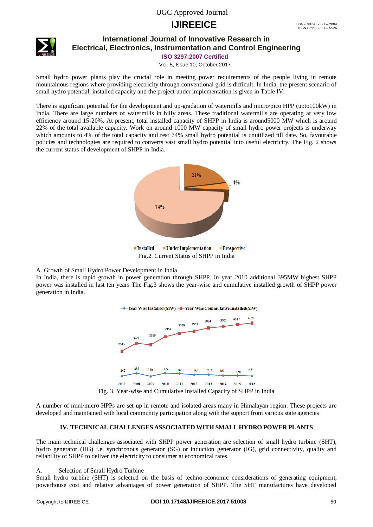# **IJIREEICE** ISSN (Online)  $2321 - 2004$ <br>
ISSN (Print)  $2321 - 5526$



### **International Journal of Innovative Research in Electrical, Electronics, Instrumentation and Control Engineering**

**ISO 3297:2007 Certified**

Vol. 5, Issue 10, October 2017

Small hydro power plants play the crucial role in meeting power requirements of the people living in remote mountainous regions where providing electricity through conventional grid is difficult. In India, the present scenario of small hydro potential, installed capacity and the project under implementation is given in Table IV.

There is significant potential for the development and up-gradation of watermills and micro/pico HPP (upto100kW) in India. There are large numbers of watermills in hilly areas. These traditional watermills are operating at very low efficiency around 15-20%. At present, total installed capacity of SHPP in India is around5000 MW which is around 22% of the total available capacity. Work on around 1000 MW capacity of small hydro power projects is underway which amounts to 4% of the total capacity and rest 74% small hydro potential is unutilized till date. So, favourable policies and technologies are required to converts vast small hydro potential into useful electricity. The Fig. 2 shows the current status of development of SHPP in India.



### A. Growth of Small Hydro Power Development in India

In India, there is rapid growth in power generation through SHPP. In year 2010 additional 395MW highest SHPP power was installed in last ten years The Fig.3 shows the year-wise and cumulative installed growth of SHPP power generation in India.



Fig. 3. Year-wise and Cumulative Installed Capacity of SHPP in India

A number of mini/micro HPPs are set up in remote and isolated areas many in Himalayan region. These projects are developed and maintained with local community participation along with the support from various state agencies

### **IV. TECHNICAL CHALLENGES ASSOCIATED WITH SMALL HYDRO POWER PLANTS**

The main technical challenges associated with SHPP power generation are selection of small hydro turbine (SHT), hydro generator (HG) i.e. synchronous generator (SG) or induction generator (IG), grid connectivity, quality and reliability of SHPP to deliver the electricity to consumer at economical rates.

#### A. Selection of Small Hydro Turbine

Small hydro turbine (SHT) is selected on the basis of techno-economic considerations of generating equipment, powerhouse cost and relative advantages of power generation of SHPP. The SHT manufactures have developed

#### Copyright to IJIREEICE **DOI 10.17148/IJIREEICE.2017.51008** 50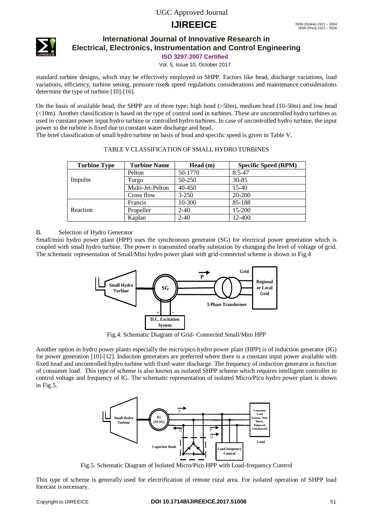# **IJIREEICE** ISSN (Online)  $2321 - 2004$ <br>
ISSN (Print)  $2321 - 5526$



### **International Journal of Innovative Research in Electrical, Electronics, Instrumentation and Control Engineering**

**ISO 3297:2007 Certified**

Vol. 5, Issue 10, October 2017

standard turbine designs, which may be effectively employed in SHPP. Factors like head, discharge variations, load variations, efficiency, turbine setting, pressure rise& speed regulations considerations and maintenance considerations determine the type of turbine [10]-[16].

On the basis of available head, the SHPP are of three type; high head (>50m), medium head (10-50m) and low head (<10m). Another classification is based on the type of control used in turbines. These are uncontrolled hydro turbines as used in constant power input hydro turbine or controlled hydro turbines. In case of uncontrolled hydro turbine, the input power to the turbine is fixed due to constant water discharge and head.

The brief classification of small hydro turbine on basis of head and specific speed is given in Table V.

| <b>Turbine Type</b> | <b>Turbine Name</b> | Head(m)    | <b>Specific Speed (RPM)</b> |
|---------------------|---------------------|------------|-----------------------------|
|                     | Pelton              | 50-1770    | 8.5-47                      |
| Impulse             | Turgo               | 50-250     | $30 - 85$                   |
|                     | Multi-Jet-Pelton    | $40 - 450$ | $15-40$                     |
|                     | Cross flow          | $3 - 250$  | 20-200                      |
|                     | Francis             | 10-300     | 85-188                      |
| Reaction            | Propeller           | $2 - 40$   | 15-200                      |
|                     | Kaplan              | $2 - 40$   | 12-400                      |

|  | TABLE V CLASSIFICATION OF SMALL HYDRO TURBINES |  |
|--|------------------------------------------------|--|
|  |                                                |  |

### B. Selection of Hydro Generator

Small/mini hydro power plant (HPP) uses the synchronous generator (SG) for electrical power generation which is coupled with small hydro turbine. The power is transmitted nearby substation by changing the level of voltage of grid. The schematic representation of Small/Mini hydro power plant with grid-connected scheme is shown in Fig.4



Fig.4. Schematic Diagram of Grid- Connected Small/Mini HPP

Another option in hydro power plants especially the micro/pico hydro power plant (HPP) is of induction generator (IG) for power generation [10]-[12]. Induction generators are preferred where there is a constant input power available with fixed head and uncontrolled hydro turbine with fixed water discharge. The frequency of induction generator is function of consumer load. This type of scheme is also known as isolated SHPP scheme which requires intelligent controller to control voltage and frequency of IG. The schematic representation of isolated Micro/Pico hydro power plant is shown in Fig.5.



Fig.5. Schematic Diagram of Isolated Micro/Pico HPP with Load-frequency Control

This type of scheme is generally used for electrification of remote rural area. For isolated operation of SHPP load forecast is necessary.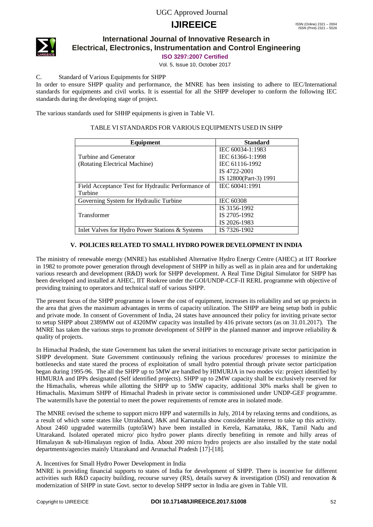# **IJIREEICE** ISSN (Online)  $2321 - 2004$ <br>
ISSN (Print)  $2321 - 5526$



### **International Journal of Innovative Research in Electrical, Electronics, Instrumentation and Control Engineering**

**ISO 3297:2007 Certified**

Vol. 5, Issue 10, October 2017

### C. Standard of Various Equipments for SHPP

In order to ensure SHPP quality and performance, the MNRE has been insisting to adhere to IEC/International standards for equipments and civil works. It is essential for all the SHPP developer to conform the following IEC standards during the developing stage of project.

The various standards used for SHHP equipments is given in Table VI.

## TABLE VI STANDARDS FOR VARIOUS EQUIPMENTS USED IN SHPP

| Equipment                                          | <b>Standard</b>       |
|----------------------------------------------------|-----------------------|
|                                                    | IEC 60034-1:1983      |
| Turbine and Generator                              | IEC 61366-1:1998      |
| (Rotating Electrical Machine)                      | IEC 61116-1992        |
|                                                    | IS 4722-2001          |
|                                                    | IS 12800(Part-3) 1991 |
| Field Acceptance Test for Hydraulic Performance of | IEC 60041:1991        |
| Turbine                                            |                       |
| Governing System for Hydraulic Turbine             | IEC 60308             |
|                                                    | IS 3156-1992          |
| Transformer                                        | IS 2705-1992          |
|                                                    | IS 2026-1983          |
| Inlet Valves for Hydro Power Stations & Systems    | IS 7326-1902          |

### **V. POLICIES RELATED TO SMALL HYDRO POWER DEVELOPMENT IN INDIA**

The ministry of renewable energy (MNRE) has established Alternative Hydro Energy Centre (AHEC) at IIT Roorkee in 1982 to promote power generation through development of SHPP in hilly as well as in plain area and for undertaking various research and development (R&D) work for SHPP development. A Real Time Digital Simulator for SHPP has been developed and installed at AHEC, IIT Rookree under the GOI/UNDP-CCF-II RERL programme with objective of providing training to operators and technical staff of various SHPP.

The present focus of the SHPP programme is lower the cost of equipment, increases its reliability and set up projects in the area that gives the maximum advantages in terms of capacity utilization. The SHPP are being setup both in public and private mode. In consent of Government of India, 24 states have announced their policy for inviting private sector to setup SHPP about 2389MW out of 4320MW capacity was installed by 416 private sectors (as on 31.01.2017). The MNRE has taken the various steps to promote development of SHPP in the planned manner and improve reliability  $\&$ quality of projects.

In Himachal Pradesh, the state Government has taken the several initiatives to encourage private sector participation in SHPP development. State Government continuously refining the various procedures/ processes to minimize the bottlenecks and state stared the process of exploitation of small hydro potential through private sector participation began during 1995-96. The all the SHPP up to 5MW are handled by HIMURJA in two modes viz: project identified by HIMURJA and IPPs designated (Self identified projects). SHPP up to 2MW capacity shall be exclusively reserved for the Himachalis, whereas while allotting the SHPP up to 5MW capacity, additional 30% marks shall be given to Himachalis. Maximum SHPP of Himachal Pradesh in private sector is commissioned under UNDP-GEF programme. The watermills have the potential to meet the power requirements of remote area in isolated mode.

The MNRE revised the scheme to support micro HPP and watermills in July, 2014 by relaxing terms and conditions, as a result of which some states like Uttrakhand, J&K and Karnataka show considerable interest to take up this activity. About 2460 upgraded watermills (upto5kW) have been installed in Kerela, Karnataka, J&K, Tamil Nadu and Uttarakand. Isolated operated micro pico hydro power plants directly benefiting in remote and hilly areas of Himalayan & sub-Himalayan region of India. About 200 micro hydro projects are also installed by the state nodal departments/agencies mainly Uttarakand and Arunachal Pradesh [17]-[18].

### A. Incentives for Small Hydro Power Development in India

MNRE is providing financial supports to states of India for development of SHPP. There is incentive for different activities such R&D capacity building, recourse survey (RS), details survey & investigation (DSI) and renovation & modernization of SHPP in state Govt. sector to develop SHPP sector in India are given in Table VII.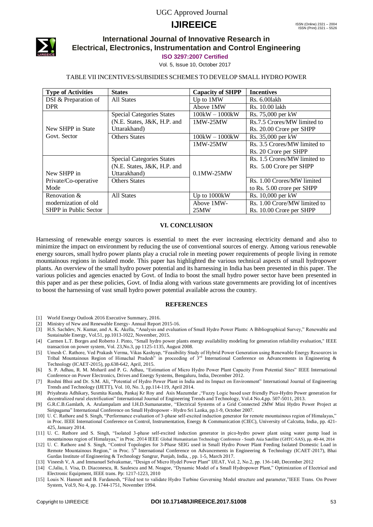# **IJIREEICE ISSN** (Online) 2321 – 2004



### **International Journal of Innovative Research in Electrical, Electronics, Instrumentation and Control Engineering**

#### **ISO 3297:2007 Certified**

Vol. 5, Issue 10, October 2017

#### TABLE VII INCENTIVES/SUBSIDIES SCHEMES TO DEVELOP SMALL HYDRO POWER

| <b>Type of Activities</b> | <b>States</b>                    | <b>Capacity of SHPP</b> | <b>Incentives</b>            |
|---------------------------|----------------------------------|-------------------------|------------------------------|
| DSI & Preparation of      | All States                       | Up to 1MW               | Rs. 6.001akh                 |
| <b>DPR</b>                |                                  | Above 1MW               | Rs. 10.00 lakh               |
|                           | <b>Special Categories States</b> | $100kW - 1000kW$        | Rs. 75,000 per kW            |
|                           | (N.E. States, J&K, H.P. and      | 1MW-25MW                | Rs.7.5 Crores/MW limited to  |
| New SHPP in State         | Uttarakhand)                     |                         | Rs. 20.00 Crore per SHPP     |
| Govt. Sector              | <b>Others States</b>             | $100kW - 1000kW$        | Rs. 35,000 per kW            |
|                           |                                  | 1MW-25MW                | Rs. 3.5 Crores/MW limited to |
|                           |                                  |                         | Rs. 20 Crore per SHPP        |
|                           | <b>Special Categories States</b> |                         | Rs. 1.5 Crores/MW limited to |
|                           | (N.E. States, J&K, H.P. and      |                         | Rs. 5.00 Crore per SHPP      |
| New SHPP in               | Uttarakhand)                     | $0.1$ MW-25MW           |                              |
| Private/Co-operative      | <b>Others States</b>             |                         | Rs. 1.00 Crores/MW limited   |
| Mode                      |                                  |                         | to Rs. 5.00 crore per SHPP   |
| Renovation &              | All States                       | Up to 1000kW            | Rs. 10,000 per kW            |
| modernization of old      |                                  | Above 1MW-              | Rs. 1.00 Crore/MW limited to |
| SHPP in Public Sector     |                                  | 25MW                    | Rs. 10.00 Crore per SHPP     |

#### **VI. CONCLUSION**

Harnessing of renewable energy sources is essential to meet the ever increasing electricity demand and also to minimize the impact on environment by reducing the use of conventional sources of energy. Among various renewable energy sources, small hydro power plants play a crucial role in meeting power requirements of people living in remote mountainous regions in isolated mode. This paper has highlighted the various technical aspects of small hydropower plants. An overview of the small hydro power potential and its harnessing in India has been presented in this paper. The various policies and agencies enacted by Govt. of India to boost the small hydro power sector have been presented in this paper and as per these policies, Govt. of India along with various state governments are providing lot of incentives to boost the harnessing of vast small hydro power potential available across the country.

#### **REFERENCES**

- [1] World Energy Outlook 2016 Executive Summary, 2016.
- [2] Ministry of New and Renewable Energy- Annual Report 2015-16.
- [3] H.S. Sachdev, N. Kumar, and A. K. Akella, "Analysis and evaluation of Small Hydro Power Plants: A Bibliographical Survey," Renewable and Sustainable Energy, Vol.51, pp.1013-1022, November, 2015.
- [4] Carmen L.T. Borges and Roberto J. Pinto, "Small hydro power plants energy availability modeling for generation reliability evaluation," IEEE transaction on power system, Vol. 23,No.3, pp 1125-1135, August 2008.
- [5] Umesh C. Rathore, Ved Prakash Verma, Vikas Kashyap, "Feasibility Study of Hybrid Power Generation using Renewable Energy Resources in Tribal Mountainous Region of Himachal Pradesh" in proceeding of 3rd International Conference on Advancements in Engineering & Technology (ICAET-2015), pp.638-642, April, 2015.
- [6] S. P. Adhau, R. M. Moharil and P. G. Adhau, "Estimation of Micro Hydro Power Plant Capacity From Potential Sites" IEEE International Conference on Power Electronics, Drives and Energy Systems, Bengaluru, India, December 2012.
- [7] Roshni Bhoi and Dr. S.M. Ali, "Potential of Hydro Power Plant in India and its Impact on Environment" International Journal of Engineering Trends and Technology (IJETT), Vol. 10, No. 3, pp.114-119, April 2014.
- [8] Priyabrata Adhikary, Susmita Kundu, Pankaj Kr Roy and Asis Mazumdar ,"Fuzzy Logic based user friendly Pico-Hydro Power generation for decentralized rural electrification" International Journal of Engineering Trends and Technology, Vol.4 No.4,pp. 507-5011, 2013.
- [9] G.R.C.B.Gamlath, A. Arulampalam and I.H.D.Sumanaratne, "Electrical Systems of a Grid Connected 2MW Mini Hydro Power Project at Siripagama" International Conference on Small Hydropower - Hydro Sri Lanka, pp.1-9, October 2007.
- [10] U. C. Rathore and S. Singh, "Performance evaluation of 3-phase self-excited induction generator for remote mountainous region of Himalayas," in Proc. IEEE International Conference on Control, Instrumentation, Energy & Communication (CIEC), University of Calcutta, India, pp. 421- 425, January 2014.
- [11] U. C. Rathore and S. Singh, "Isolated 3-phase self-excited induction generator in pico-hydro power plant using water pump load in mountainous region of Himalayas," in Proc. 2014 IEEE Global Humanitarian Technology Conference - South Asia Satellite (GHTC-SAS), pp. 40-44, 2014
- [12] U. C. Rathore and S. Singh, "Control Topologies for 3-Phase SEIG used in Small Hydro Power Plant Feeding Isolated Domestic Load in Remote Mountainous Region," in Proc.  $5<sup>th</sup>$  International Conference on Advancements in Engineering & Technology (ICAET-2017), Bhai Gurdas Institute of Engineering & Technology Sangrur, Punjab, India, , pp. 1-5, March 2017.
- [13] Vineesh V, A .and Immanuel Selvakumar, "Design of Micro Hydel Power Plant" IJEAT, Vol. 2, No.2, pp. 136-140, December 2012
- [14] C.Jaliu, I. Visa, D. Diaconescu, R. Saulescu and M. Neagoe, "Dynamic Model of a Small Hydropower Plant," Optimization of Electrical and Electronic Equipment, IEEE trans. Pp: 1217-1223, 2010
- [15] Louis N. Hannett and B. Fardanesh, "Filed test to validate Hydro Turbine Governing Model structure and parameter,"IEEE Trans. On Power System, Vol.9, No 4, pp. 1744-1751, November 1994.